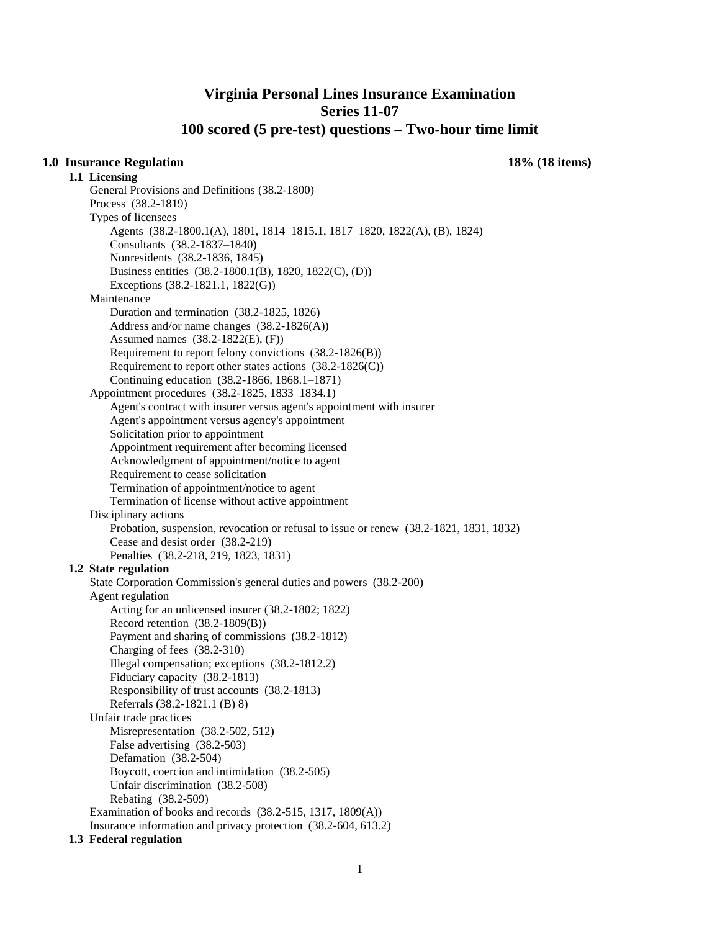# **Virginia Personal Lines Insurance Examination Series 11-07 100 scored (5 pre-test) questions – Two-hour time limit**

## **1.0 Insurance Regulation 18% (18 items)**

**1.1 Licensing**  General Provisions and Definitions (38.2-1800) Process (38.2-1819) Types of licensees Agents (38.2-1800.1(A), 1801, 1814–1815.1, 1817–1820, 1822(A), (B), 1824) Consultants (38.2-1837–1840) Nonresidents (38.2-1836, 1845) Business entities (38.2-1800.1(B), 1820, 1822(C), (D)) Exceptions (38.2-1821.1, 1822(G)) Maintenance Duration and termination (38.2-1825, 1826) Address and/or name changes (38.2-1826(A)) Assumed names (38.2-1822(E), (F)) Requirement to report felony convictions (38.2-1826(B)) Requirement to report other states actions  $(38.2-1826(C))$ Continuing education (38.2-1866, 1868.1–1871) Appointment procedures (38.2-1825, 1833–1834.1) Agent's contract with insurer versus agent's appointment with insurer Agent's appointment versus agency's appointment Solicitation prior to appointment Appointment requirement after becoming licensed Acknowledgment of appointment/notice to agent Requirement to cease solicitation Termination of appointment/notice to agent Termination of license without active appointment Disciplinary actions Probation, suspension, revocation or refusal to issue or renew (38.2-1821, 1831, 1832) Cease and desist order (38.2-219) Penalties (38.2-218, 219, 1823, 1831) **1.2 State regulation**  State Corporation Commission's general duties and powers (38.2-200) Agent regulation Acting for an unlicensed insurer (38.2-1802; 1822) Record retention (38.2-1809(B)) Payment and sharing of commissions (38.2-1812) Charging of fees (38.2-310) Illegal compensation; exceptions (38.2-1812.2) Fiduciary capacity (38.2-1813) Responsibility of trust accounts (38.2-1813) Referrals (38.2-1821.1 (B) 8) Unfair trade practices Misrepresentation (38.2-502, 512) False advertising (38.2-503) Defamation (38.2-504) Boycott, coercion and intimidation (38.2-505) Unfair discrimination (38.2-508) Rebating (38.2-509) Examination of books and records (38.2-515, 1317, 1809(A)) Insurance information and privacy protection (38.2-604, 613.2)

#### **1.3 Federal regulation**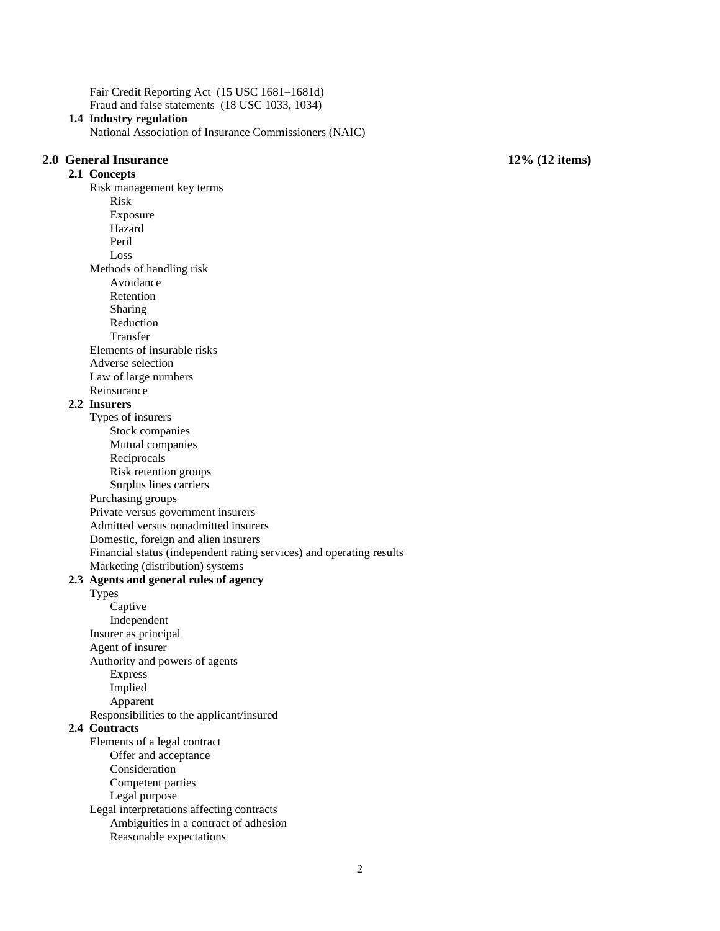Fair Credit Reporting Act (15 USC 1681–1681d) Fraud and false statements (18 USC 1033, 1034)

#### **1.4 Industry regulation**

National Association of Insurance Commissioners (NAIC)

### **2.0 General Insurance 12% (12 items) 2.1 Concepts**  Risk management key terms Risk Exposure Hazard Peril Loss Methods of handling risk Avoidance Retention Sharing Reduction Transfer Elements of insurable risks Adverse selection Law of large numbers Reinsurance **2.2 Insurers**  Types of insurers Stock companies Mutual companies Reciprocals Risk retention groups Surplus lines carriers Purchasing groups Private versus government insurers Admitted versus nonadmitted insurers Domestic, foreign and alien insurers Financial status (independent rating services) and operating results Marketing (distribution) systems **2.3 Agents and general rules of agency**  Types Captive Independent Insurer as principal Agent of insurer Authority and powers of agents Express Implied Apparent Responsibilities to the applicant/insured **2.4 Contracts**  Elements of a legal contract Offer and acceptance Consideration Competent parties Legal purpose Legal interpretations affecting contracts Ambiguities in a contract of adhesion Reasonable expectations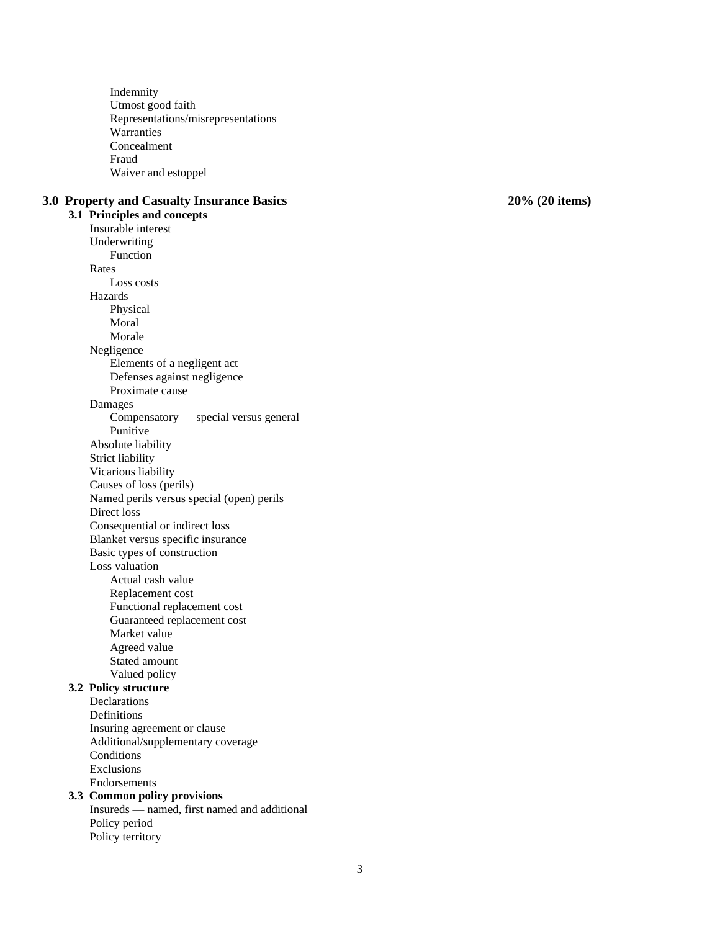Indemnity Utmost good faith Representations/ misrepresentations **Warranties** Concealment Fraud Waiver and estoppel **3.0 Property and Casualty Insurance Basics 20 3.1 Principles and concepts**  Insurable interest Underwriting Function Rates Loss costs Hazards Physical Moral Morale Negligence Elements of a negligent act Defenses against negligence Proximate cause Dam ages Compensatory — special versus general Punitive Absolute liability Strict liability Vicarious liability Causes of loss (perils) Named perils versus special (open) perils Direct loss Consequent ial or indirect loss Blanket versus specific insurance Basic types of construction Loss valuation Actual cash value Replacement cost Functional replacement cost Guaranteed replacement cost Market value Agreed value Stated amount Valued policy **3.2 Policy structure**  Declarations Definitions Insuring agreement or clause Additional/supplementary coverage **Conditions** Exclusio ns Endorsements **3.3 Common policy provisions**  Insureds — named, first named and additional Policy period Policy territory

**% (20 items)**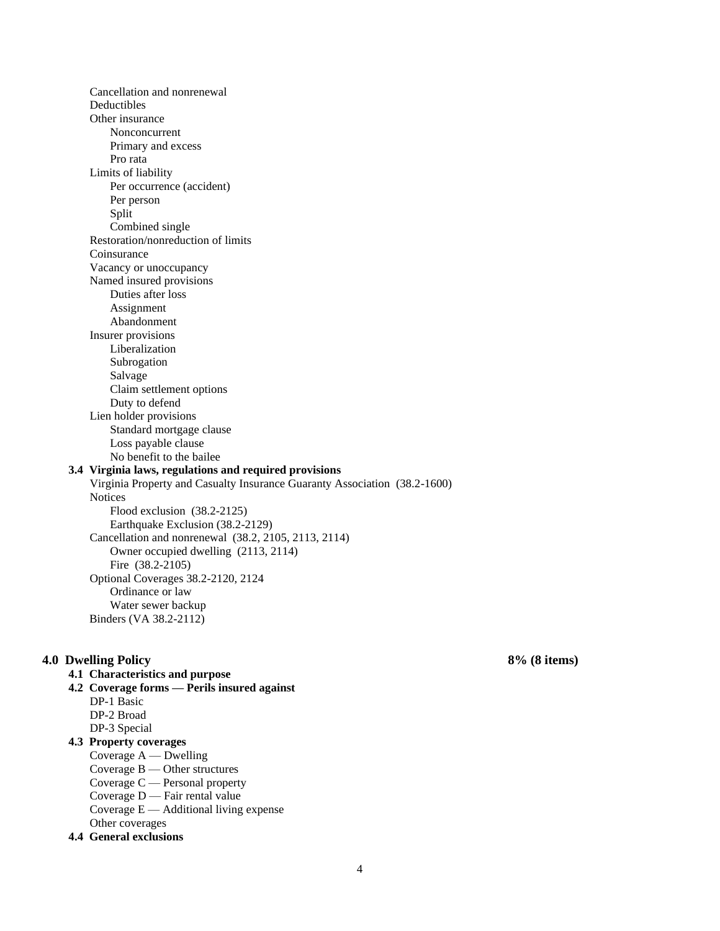Cancellation and nonrenewal Deductibles Other insurance Nonconcurrent Primary and excess Pro rata Limits of liability Per occurrence (accident) Per person Split Combined single Restoration/nonreduction of limits Coinsurance Vacancy or unoccupancy Named insured provisions Duties after loss Assignment Abandonment Insurer provisions Liberalization Subrogation Salvage Claim settlement options Duty to defend Lien holder provisions Standard mortgage clause Loss payable clause No benefit to the bailee **3.4 Virginia laws, regulations and required provisions**  Virginia Property and Casualty Insurance Guaranty Association (38.2-1600) **Notices** Flood exclusion (38.2-2125) Earthquake Exclusion (38.2-2129) Cancellation and nonrenewal (38.2, 2105, 2113, 2114) Owner occupied dwelling (2113, 2114) Fire (38.2-2105) Optional Coverages 38.2-2120, 2124 Ordinance or law Water sewer backup Binders (VA 38.2-2112)

## **4.0 Dwelling Policy 8% (8 items)**

# **4.1 Characteristics and purpose**

- **4.2 Coverage forms — Perils insured against**  DP-1 Basic
	- DP-2 Broad
	- DP-3 Special

# **4.3 Property coverages**

- Coverage A Dwelling Coverage B — Other structures
- Coverage C Personal property
- Coverage D Fair rental value
- Coverage  $E -$  Additional living expense
- Other coverages

# **4.4 General exclusions**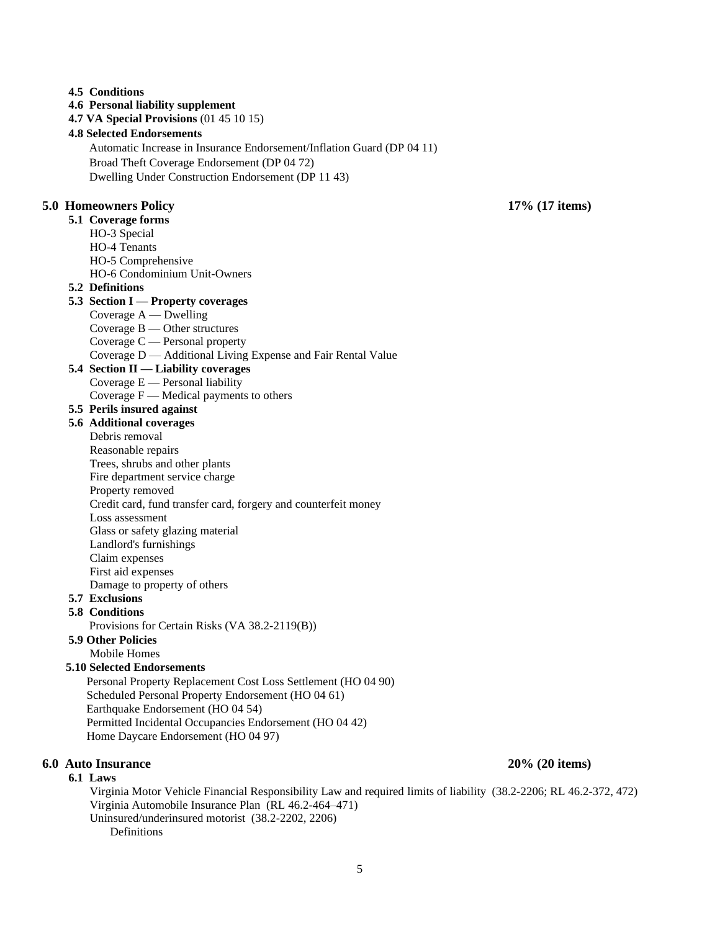#### **4.5 Conditions**

## **4.6 Personal liability supplement**

**4.7 VA Special Provisions** (01 45 10 15)

#### **4.8 Selected Endorsements**

Automatic Increase in Insurance Endorsement/Inflation Guard (DP 04 11)

Broad Theft Coverage Endorsement (DP 04 72)

Dwelling Under Construction Endorsement (DP 11 43)

### **5.0 Homeowners Policy 17% (17 items)**

### **5.1 Coverage forms**

- HO-3 Special
- HO-4 Tenants
- HO-5 Comprehensive
- HO-6 Condominium Unit-Owners

### **5.2 Definitions**

#### **5.3 Section I — Property coverages**

- Coverage A Dwelling
- Coverage B Other structures
- Coverage C Personal property
- Coverage D Additional Living Expense and Fair Rental Value

## **5.4 Section II — Liability coverages**

- Coverage E Personal liability
- Coverage  $F$  Medical payments to others

## **5.5 Perils insured against**

- **5.6 Additional coverages** 
	- Debris removal
	- Reasonable repairs
	- Trees, shrubs and other plants
	- Fire department service charge
	- Property removed
	- Credit card, fund transfer card, forgery and counterfeit money
	- Loss assessment
	- Glass or safety glazing material
	- Landlord's furnishings
	- Claim expenses
	- First aid expenses
	- Damage to property of others

# **5.7 Exclusions**

#### **5.8 Conditions**

Provisions for Certain Risks (VA 38.2-2119(B))

# **5.9 Other Policies**

Mobile Homes

## **5.10 Selected Endorsements**

 Personal Property Replacement Cost Loss Settlement (HO 04 90) Scheduled Personal Property Endorsement (HO 04 61) Earthquake Endorsement (HO 04 54) Permitted Incidental Occupancies Endorsement (HO 04 42) Home Daycare Endorsement (HO 04 97)

#### **6.0 Auto Insurance 20% (20 items)**

#### **6.1 Laws**

Virginia Motor Vehicle Financial Responsibility Law and required limits of liability (38.2-2206; RL 46.2-372, 472) Virginia Automobile Insurance Plan (RL 46.2-464–471) Uninsured/underinsured motorist (38.2-2202, 2206) Definitions

#### 5